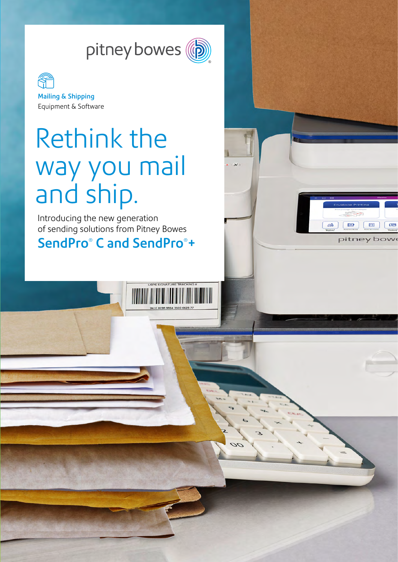



# Rethink the way you mail and ship.

Introducing the new generation of sending solutions from Pitney Bowes

## SendPro® C and SendPro®+

**The Community of the Community of the Community of The Community** 

 $\sigma$ 

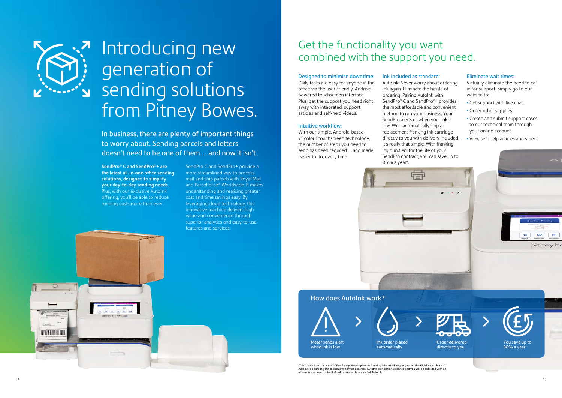SendPro® C and SendPro®+ are the latest all-in-one office sending solutions, designed to simplify your day-to-day sending needs. Plus, with our exclusive AutoInk offering, you'll be able to reduce running costs more than ever.

SendPro C and SendPro+ provide a more streamlined way to process mail and ship parcels with Royal Mail and Parcelforce® Worldwide. It makes understanding and realising greater cost and time savings easy. By leveraging cloud technology, this innovative machine delivers high value and convenience through superior analytics and easy-to-use features and services.

Designed to minimise downtime: Daily tasks are easy for anyone in the office via the user-friendly, Androidpowered touchscreen interface. Plus, get the support you need right away with integrated, support articles and self-help videos.

#### Intuitive workflow:

With our simple, Android-based 7" colour touchscreen technology, the number of steps you need to send has been reduced… and made easier to do, every time.

# Get the functionality you want Introducing new Get the functionality you want<br>combined with the support you need.

Ink included as standard: AutoInk: Never worry about ordering ink again. Eliminate the hassle of ordering. Pairing AutoInk with SendPro® C and SendPro®+ provides the most affordable and convenient method to run your business. Your SendPro alerts us when your ink is low. We'll automatically ship a replacement franking ink cartridge directly to you with delivery included. It's really that simple. With franking ink bundled, for the life of your

#### Eliminate wait times:

Virtually eliminate the need to call in for support. Simply go to our website to:

- Get support with live chat.
- Order other supplies.
- Create and submit support cases to our technical team through your online account.
- View self-help articles and videos.



∙This is based on the usage of five Pitney Bowes genuine franking ink cartridges per year on the £7.99 monthly tariff.<br>Autolnk is a part of your all-inclusive service contract. Autolnk is an optional service and you will alternative service contract should you wish to opt out of AutoInk.

**NAVALE ADAPTE** 



# generation of sending solutions from Pitney Bowes.

In business, there are plenty of important things to worry about. Sending parcels and letters doesn't need to be one of them… and now it isn't.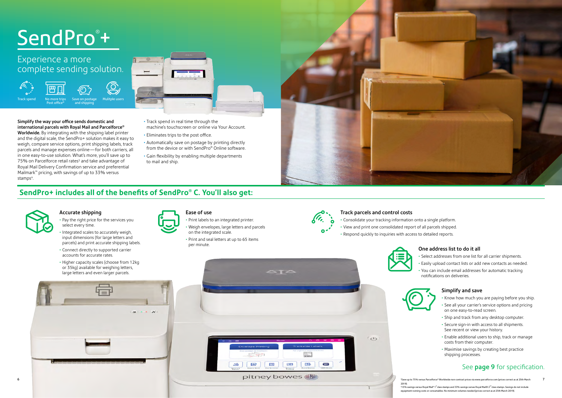# SendPro®+

Post office

Simplify the way your office sends domestic and international parcels with Royal Mail and Parcelforce® Worldwide. By integrating with the shipping label printer and the digital scale, the SendPro+ solution makes it easy to weigh, compare service options, print shipping labels, track parcels and manage expenses online—for both carriers, all in one easy-to-use solution. What's more, you'll save up to 75% on Parcelforce retail rates<sup>3</sup> and take advantage of Royal Mail Delivery Confirmation service and preferential Mailmark™ pricing, with savings of up to 33% versus stamps<sup>4</sup>.



- Track spend in real time through the machine's touchscreen or online via Your Account.
- Eliminates trips to the post office.
- Automatically save on postage by printing directly from the device or with SendPro® Online software.
- Gain flexibility by enabling multiple departments to mail and ship.

and shipping

Track spend No more trips Save on postage Mulitple users

 $\Omega$  $\bf \bar{\bf O}$ 



# Experience a more complete sending solution.









#### Accurate shipping

- Pay the right price for the services you select every time.
- Integrated scales to accurately weigh, input dimensions (for large letters and parcels) and print accurate shipping labels.
- Connect directly to supported carrier accounts for accurate rates.
- Higher capacity scales (choose from 12kg or 35kg) available for weighing letters, large letters and even larger parcels.



Ease of use • Print labels to an integrated printer.

• Weigh envelopes, large letters and parcels on the integrated scale.

• Print and seal letters at up to 65 items per minute.





#### One address list to do it all

• Select addresses from one list for all carrier shipments. • Easily upload contact lists or add new contacts as needed. • You can include email addresses for automatic tracking notifications on deliveries.



#### Simplify and save

- Know how much you are paying before you ship.
- See all your carrier's service options and pricing on one easy-to-read screen.
- Ship and track from any desktop computer.
- Secure sign-in with access to all shipments. See recent or view your history.
- Enable additional users to ship, track or manage costs from their computer.
- Maximise savings by creating best practice shipping processes.

### See page 9 for specification.

#### Track parcels and control costs

• Consolidate your tracking information onto a single platform. • View and print one consolidated report of all parcels shipped. • Respond quickly to inquiries with access to detailed reports.



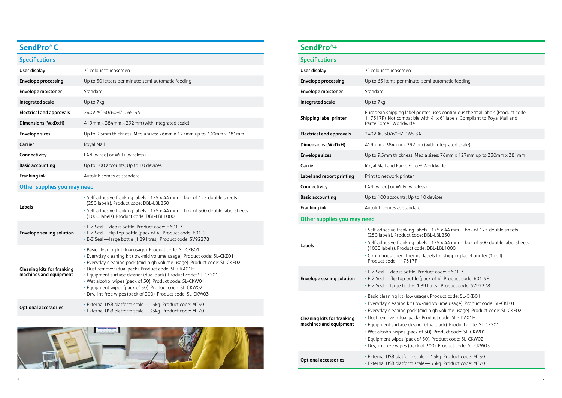#### emi-automatic feeding

### **SendPro® +**

European shipping label printer uses continuous thermal labels (Product code: 117317P). Not compatible with 4" x 6" labels. Compliant to Royal Mail and

(with integrated scale)

a sizes: 76mm x 127mm up to 330mm x 381mm

Worldwide.

devices

ls - 175 x 44 mm—box of 125 double sheets DBL-LBL250 Is - 175 x 44 mm—box of 500 double label sheets : DBL-LBL1000 abels for shipping label printer (1 roll).

duct code: H601-7 ack of 4). Product code: 601-9E litres). Product code: SV92278

e). Product code: SL-CKB01 mid volume usage). Product code: SL-CKE01 d-high volume usage). Product code: SL-CKE02 roduct code: SL-CKA01H (dual pack). Product code: SL-CKS01 50). Product code: SL-CKW01  $50$ ). Product code: SL-CKW02 f 300). Product code: SL-CKW03

optional accessories • External accessoring entity that the extending that the set of  $-15$  kg. Product code: MT30  $-35$ kg. Product code: MT70

| <b>Specifications</b>           |                                                                                          |
|---------------------------------|------------------------------------------------------------------------------------------|
| User display                    | 7" colour touchscreen                                                                    |
| <b>Envelope processing</b>      | Up to 65 items per minute; se                                                            |
| Envelope moistener              | Standard                                                                                 |
| Integrated scale                | Up to 7kg                                                                                |
| Shipping label printer          | European shipping label print<br>117317P). Not compatible wit<br>ParcelForce® Worldwide. |
| <b>Electrical and approvals</b> | 240V AC 50/60HZ 0.65-3A                                                                  |
| <b>Dimensions (WxDxH)</b>       | 419mm x 384mm x 292mm (y                                                                 |
| <b>Envelope sizes</b>           | Up to 9.5mm thickness. Media                                                             |
| Carrier                         | Royal Mail and ParcelForce® W                                                            |
| Label and report printing       | Print to network printer                                                                 |
| Connectivity                    | LAN (wired) or Wi-Fi (wireless)                                                          |
| <b>Basic accounting</b>         | Up to 100 accounts; Up to 10                                                             |
| Franking ink                    | Autolnk comes as standard                                                                |

#### Other supplies you may need

| Labels                                               | · Self-adhesive franking label:<br>(250 labels). Product code: [<br>· Self-adhesive franking label:<br>(1000 labels). Product code:<br>• Continuous direct thermal la<br>Product code: 117317P                                                                              |
|------------------------------------------------------|-----------------------------------------------------------------------------------------------------------------------------------------------------------------------------------------------------------------------------------------------------------------------------|
| Envelope sealing solution                            | • E-Z Seal - dab it Bottle. Prod<br>• E-Z Seal — flip top bottle (pa<br>· E-Z Seal -large bottle (1.89                                                                                                                                                                      |
| Cleaning kits for franking<br>machines and equipment | • Basic cleaning kit (low usage<br>• Everyday cleaning kit (low-m<br>• Everyday cleaning pack (mic<br>· Dust remover (dual pack). Pr<br>· Equipment surface cleaner (<br>• Wet alcohol wipes (pack of 5<br>• Equipment wipes (pack of 5)<br>• Dry, lint-free wipes (pack of |
| Optional accessories                                 | • External USB platform scale-<br>• External USB platform scale-                                                                                                                                                                                                            |

### **SendPro® C**

#### **Specifications**

| User display                                         | 7" colour touchscreen                                                                                                                                                                                                                                                                                                                                                                                                                                                                                                          |  |
|------------------------------------------------------|--------------------------------------------------------------------------------------------------------------------------------------------------------------------------------------------------------------------------------------------------------------------------------------------------------------------------------------------------------------------------------------------------------------------------------------------------------------------------------------------------------------------------------|--|
| <b>Envelope processing</b>                           | Up to 50 letters per minute; semi-automatic feeding                                                                                                                                                                                                                                                                                                                                                                                                                                                                            |  |
| <b>Envelope moistener</b>                            | Standard                                                                                                                                                                                                                                                                                                                                                                                                                                                                                                                       |  |
| Integrated scale                                     | Up to 7kg                                                                                                                                                                                                                                                                                                                                                                                                                                                                                                                      |  |
| <b>Electrical and approvals</b>                      | 240V AC 50/60HZ 0.65-3A                                                                                                                                                                                                                                                                                                                                                                                                                                                                                                        |  |
| <b>Dimensions (WxDxH)</b>                            | 419mm x 384mm x 292mm (with integrated scale)                                                                                                                                                                                                                                                                                                                                                                                                                                                                                  |  |
| <b>Envelope sizes</b>                                | Up to 9.5mm thickness. Media sizes: 76mm x 127mm up to 330mm x 381mm                                                                                                                                                                                                                                                                                                                                                                                                                                                           |  |
| Carrier                                              | Royal Mail                                                                                                                                                                                                                                                                                                                                                                                                                                                                                                                     |  |
| Connectivity                                         | LAN (wired) or Wi-Fi (wireless)                                                                                                                                                                                                                                                                                                                                                                                                                                                                                                |  |
| <b>Basic accounting</b>                              | Up to 100 accounts; Up to 10 devices                                                                                                                                                                                                                                                                                                                                                                                                                                                                                           |  |
| Franking ink                                         | Autolnk comes as standard                                                                                                                                                                                                                                                                                                                                                                                                                                                                                                      |  |
| Other supplies you may need                          |                                                                                                                                                                                                                                                                                                                                                                                                                                                                                                                                |  |
| Labels                                               | • Self-adhesive franking labels - 175 x 44 mm - box of 125 double sheets<br>(250 labels). Product code: DBL-LBL250                                                                                                                                                                                                                                                                                                                                                                                                             |  |
|                                                      | • Self-adhesive franking labels - 175 x 44 mm - box of 500 double label sheets<br>(1000 labels). Product code: DBL-LBL1000                                                                                                                                                                                                                                                                                                                                                                                                     |  |
| Envelope sealing solution                            | · E-Z Seal-dab it Bottle. Product code: H601-7<br>· E-Z Seal-flip top bottle (pack of 4). Product code: 601-9E<br>· E-Z Seal-large bottle (1.89 litres). Product code: SV92278                                                                                                                                                                                                                                                                                                                                                 |  |
| Cleaning kits for franking<br>machines and equipment | · Basic cleaning kit (low usage). Product code: SL-CKB01<br>· Everyday cleaning kit (low-mid volume usage). Product code: SL-CKE01<br>· Everyday cleaning pack (mid-high volume usage). Product code: SL-CKE02<br>· Dust remover (dual pack). Product code: SL-CKA01H<br>· Equipment surface cleaner (dual pack). Product code: SL-CKS01<br>. Wet alcohol wipes (pack of 50). Product code: SL-CKW01<br>· Equipment wipes (pack of 50). Product code: SL-CKW02<br>· Dry, lint-free wipes (pack of 300). Product code: SL-CKW03 |  |
| <b>Optional accessories</b>                          | · External USB platform scale - 15kg. Product code: MT30<br>· External USB platform scale - 35kg. Product code: MT70                                                                                                                                                                                                                                                                                                                                                                                                           |  |